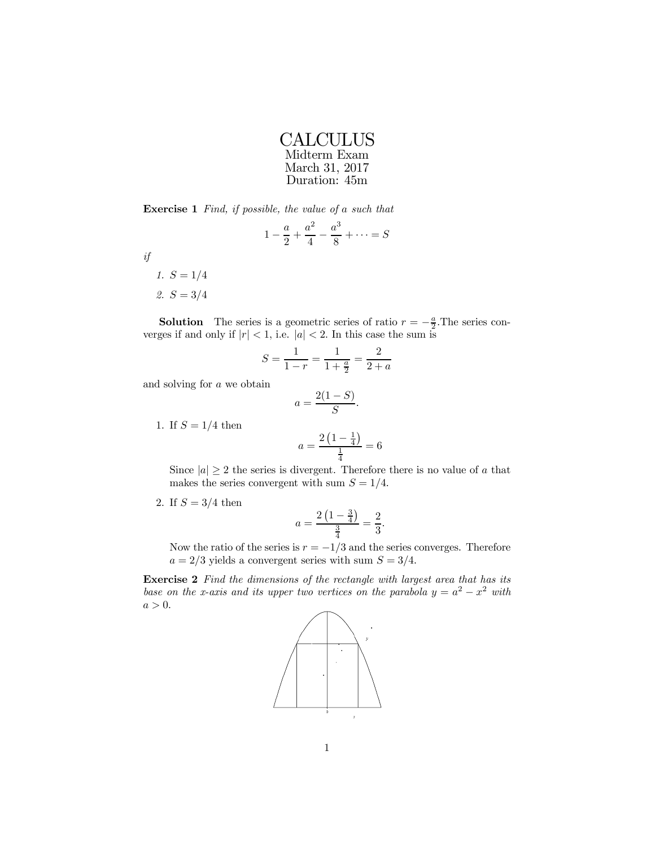| <b>CALCULUS</b> |
|-----------------|
| Midterm Exam    |
| March 31, 2017  |
| Duration: 45m   |

Exercise 1 Find, if possible, the value of a such that

$$
1 - \frac{a}{2} + \frac{a^2}{4} - \frac{a^3}{8} + \dots = S
$$

if

1.  $S = 1/4$ 2.  $S = 3/4$ 

**Solution** The series is a geometric series of ratio  $r = -\frac{a}{2}$ . The series converges if and only if  $|r| < 1$ , i.e.  $|a| < 2$ . In this case the sum is

$$
S = \frac{1}{1-r} = \frac{1}{1+\frac{a}{2}} = \frac{2}{2+a}
$$

and solving for a we obtain

$$
a = \frac{2(1-S)}{S}.
$$

1. If 
$$
S = 1/4
$$
 then

$$
a = \frac{2\left(1 - \frac{1}{4}\right)}{\frac{1}{4}} = 6
$$

Since  $|a| \geq 2$  the series is divergent. Therefore there is no value of a that makes the series convergent with sum  $S = 1/4$ .

2. If  $S = 3/4$  then

$$
a = \frac{2\left(1 - \frac{3}{4}\right)}{\frac{3}{4}} = \frac{2}{3}.
$$

Now the ratio of the series is  $r = -1/3$  and the series converges. Therefore  $a = 2/3$  yields a convergent series with sum  $S = 3/4$ .

Exercise 2 Find the dimensions of the rectangle with largest area that has its base on the x-axis and its upper two vertices on the parabola  $y = a^2 - x^2$  with  $a > 0$ .